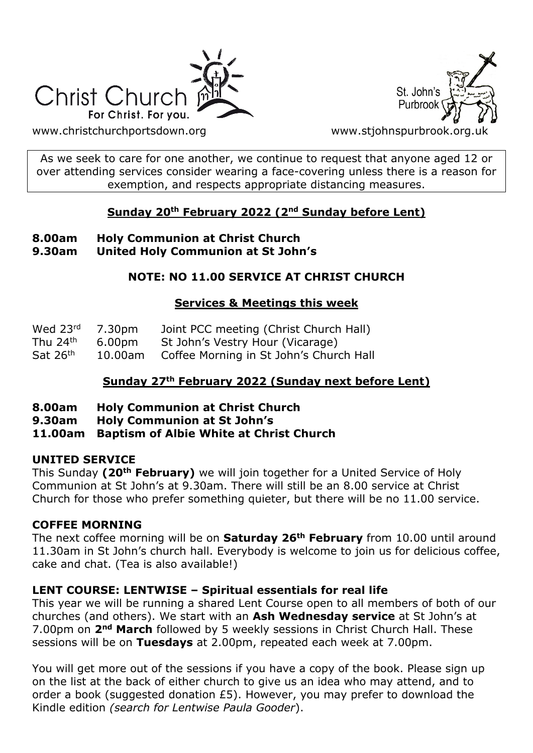



[www.christchurchportsdown.org](http://www.christchurchportsdown.org/) www.stjohnspurbrook.org

As we seek to care for one another, we continue to request that anyone aged 12 or over attending services consider wearing a face-covering unless there is a reason for exemption, and respects appropriate distancing measures.

### **Sunday 20th February 2022 (2nd Sunday before Lent)**

#### **8.00am Holy Communion at Christ Church 9.30am United Holy Communion at St John's**

# **NOTE: NO 11.00 SERVICE AT CHRIST CHURCH**

### **Services & Meetings this week**

| Wed 23rd             | 7.30pm  | Joint PCC meeting (Christ Church Hall)  |
|----------------------|---------|-----------------------------------------|
| Thu 24 <sup>th</sup> | 6.00pm  | St John's Vestry Hour (Vicarage)        |
| Sat $26th$           | 10.00am | Coffee Morning in St John's Church Hall |

# **Sunday 27th February 2022 (Sunday next before Lent)**

- **8.00am Holy Communion at Christ Church**
- **9.30am Holy Communion at St John's**
- **11.00am Baptism of Albie White at Christ Church**

# **UNITED SERVICE**

This Sunday **(20th February)** we will join together for a United Service of Holy Communion at St John's at 9.30am. There will still be an 8.00 service at Christ Church for those who prefer something quieter, but there will be no 11.00 service.

# **COFFEE MORNING**

The next coffee morning will be on **Saturday 26th February** from 10.00 until around 11.30am in St John's church hall. Everybody is welcome to join us for delicious coffee, cake and chat. (Tea is also available!)

#### **LENT COURSE: LENTWISE – Spiritual essentials for real life**

This year we will be running a shared Lent Course open to all members of both of our churches (and others). We start with an **Ash Wednesday service** at St John's at 7.00pm on **2nd March** followed by 5 weekly sessions in Christ Church Hall. These sessions will be on **Tuesdays** at 2.00pm, repeated each week at 7.00pm.

You will get more out of the sessions if you have a copy of the book. Please sign up on the list at the back of either church to give us an idea who may attend, and to order a book (suggested donation £5). However, you may prefer to download the Kindle edition *(search for Lentwise Paula Gooder*).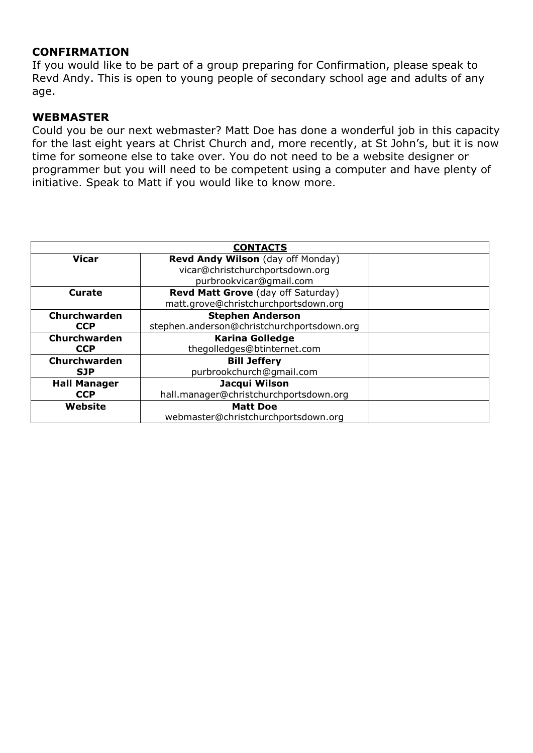### **CONFIRMATION**

If you would like to be part of a group preparing for Confirmation, please speak to Revd Andy. This is open to young people of secondary school age and adults of any age.

#### **WEBMASTER**

Could you be our next webmaster? Matt Doe has done a wonderful job in this capacity for the last eight years at Christ Church and, more recently, at St John's, but it is now time for someone else to take over. You do not need to be a website designer or programmer but you will need to be competent using a computer and have plenty of initiative. Speak to Matt if you would like to know more.

| <b>CONTACTS</b>     |                                            |  |  |
|---------------------|--------------------------------------------|--|--|
| <b>Vicar</b>        | Revd Andy Wilson (day off Monday)          |  |  |
|                     | vicar@christchurchportsdown.org            |  |  |
|                     | purbrookvicar@gmail.com                    |  |  |
| Curate              | Revd Matt Grove (day off Saturday)         |  |  |
|                     | matt.grove@christchurchportsdown.org       |  |  |
| Churchwarden        | <b>Stephen Anderson</b>                    |  |  |
| <b>CCP</b>          | stephen.anderson@christchurchportsdown.org |  |  |
| Churchwarden        | <b>Karina Golledge</b>                     |  |  |
| <b>CCP</b>          | thegolledges@btinternet.com                |  |  |
| Churchwarden        | <b>Bill Jeffery</b>                        |  |  |
| <b>SJP</b>          | purbrookchurch@qmail.com                   |  |  |
| <b>Hall Manager</b> | Jacqui Wilson                              |  |  |
| <b>CCP</b>          | hall.manager@christchurchportsdown.org     |  |  |
| Website             | <b>Matt Doe</b>                            |  |  |
|                     | webmaster@christchurchportsdown.org        |  |  |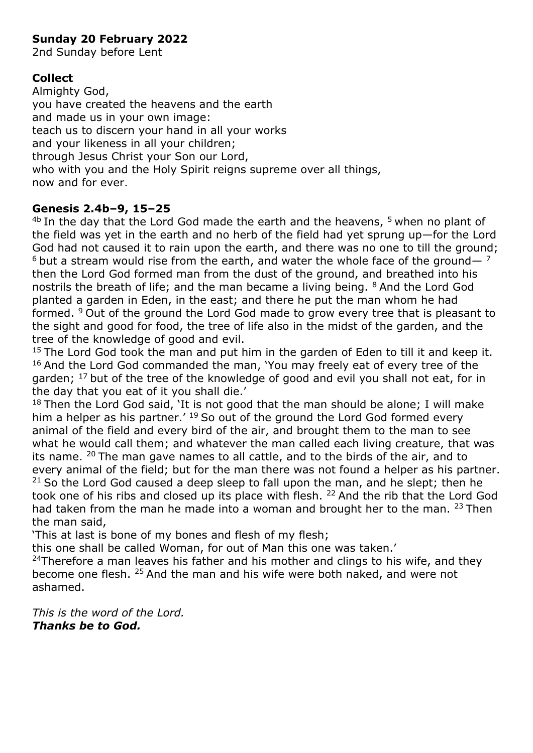# **Sunday 20 February 2022**

2nd Sunday before Lent

# **Collect**

Almighty God, you have created the heavens and the earth and made us in your own image: teach us to discern your hand in all your works and your likeness in all your children; through Jesus Christ your Son our Lord, who with you and the Holy Spirit reigns supreme over all things, now and for ever.

### **Genesis 2.4b–9, 15–25**

<sup>4b</sup> In the day that the Lord God made the earth and the heavens, <sup>5</sup> when no plant of the field was yet in the earth and no herb of the field had yet sprung up—for the Lord God had not caused it to rain upon the earth, and there was no one to till the ground;  $6$  but a stream would rise from the earth, and water the whole face of the ground—  $7$ then the Lord God formed man from the dust of the ground, and breathed into his nostrils the breath of life; and the man became a living being. <sup>8</sup> And the Lord God planted a garden in Eden, in the east; and there he put the man whom he had formed. <sup>9</sup> Out of the ground the Lord God made to grow every tree that is pleasant to the sight and good for food, the tree of life also in the midst of the garden, and the tree of the knowledge of good and evil.

 $15$  The Lord God took the man and put him in the garden of Eden to till it and keep it. <sup>16</sup> And the Lord God commanded the man, 'You may freely eat of every tree of the garden;  $17$  but of the tree of the knowledge of good and evil you shall not eat, for in the day that you eat of it you shall die.'

 $18$  Then the Lord God said, 'It is not good that the man should be alone; I will make him a helper as his partner.<sup>' 19</sup> So out of the ground the Lord God formed every animal of the field and every bird of the air, and brought them to the man to see what he would call them; and whatever the man called each living creature, that was its name. <sup>20</sup>The man gave names to all cattle, and to the birds of the air, and to every animal of the field; but for the man there was not found a helper as his partner.  $21$  So the Lord God caused a deep sleep to fall upon the man, and he slept; then he took one of his ribs and closed up its place with flesh. <sup>22</sup> And the rib that the Lord God had taken from the man he made into a woman and brought her to the man.  $23$  Then the man said,

'This at last is bone of my bones and flesh of my flesh;

this one shall be called Woman, for out of Man this one was taken.'

 $24$ Therefore a man leaves his father and his mother and clings to his wife, and they become one flesh. <sup>25</sup> And the man and his wife were both naked, and were not ashamed.

*This is the word of the Lord. Thanks be to God.*